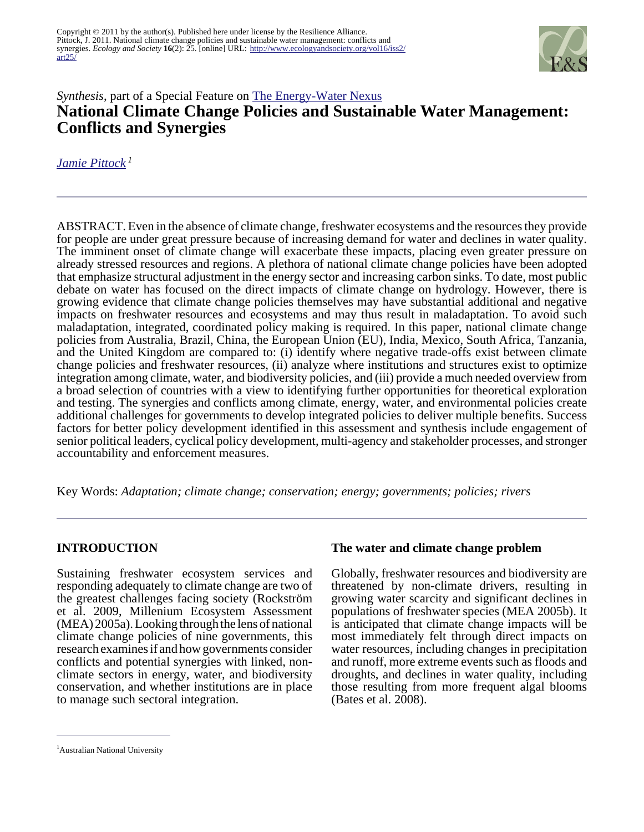

## *Synthesis*, part of a Special Feature on [The Energy-Water Nexus](http://www.ecologyandsociety.org/viewissue.php?sf=61) **National Climate Change Policies and Sustainable Water Management: Conflicts and Synergies**

*[Jamie Pittock](mailto:jamie.pittock@anu.edu.au)<sup>1</sup>*

ABSTRACT. Even in the absence of climate change, freshwater ecosystems and the resources they provide for people are under great pressure because of increasing demand for water and declines in water quality. The imminent onset of climate change will exacerbate these impacts, placing even greater pressure on already stressed resources and regions. A plethora of national climate change policies have been adopted that emphasize structural adjustment in the energy sector and increasing carbon sinks. To date, most public debate on water has focused on the direct impacts of climate change on hydrology. However, there is growing evidence that climate change policies themselves may have substantial additional and negative impacts on freshwater resources and ecosystems and may thus result in maladaptation. To avoid such maladaptation, integrated, coordinated policy making is required. In this paper, national climate change policies from Australia, Brazil, China, the European Union (EU), India, Mexico, South Africa, Tanzania, and the United Kingdom are compared to: (i) identify where negative trade-offs exist between climate change policies and freshwater resources, (ii) analyze where institutions and structures exist to optimize integration among climate, water, and biodiversity policies, and (iii) provide a much needed overview from a broad selection of countries with a view to identifying further opportunities for theoretical exploration and testing. The synergies and conflicts among climate, energy, water, and environmental policies create additional challenges for governments to develop integrated policies to deliver multiple benefits. Success factors for better policy development identified in this assessment and synthesis include engagement of senior political leaders, cyclical policy development, multi-agency and stakeholder processes, and stronger accountability and enforcement measures.

Key Words: *Adaptation; climate change; conservation; energy; governments; policies; rivers*

#### **INTRODUCTION**

Sustaining freshwater ecosystem services and responding adequately to climate change are two of the greatest challenges facing society (Rockström et al. 2009, Millenium Ecosystem Assessment (MEA) 2005a). Looking through the lens of national climate change policies of nine governments, this research examines if and how governments consider conflicts and potential synergies with linked, nonclimate sectors in energy, water, and biodiversity conservation, and whether institutions are in place to manage such sectoral integration.

#### **The water and climate change problem**

Globally, freshwater resources and biodiversity are threatened by non-climate drivers, resulting in growing water scarcity and significant declines in populations of freshwater species (MEA 2005b). It is anticipated that climate change impacts will be most immediately felt through direct impacts on water resources, including changes in precipitation and runoff, more extreme events such as floods and droughts, and declines in water quality, including those resulting from more frequent algal blooms (Bates et al. 2008).

<sup>&</sup>lt;sup>1</sup>Australian National University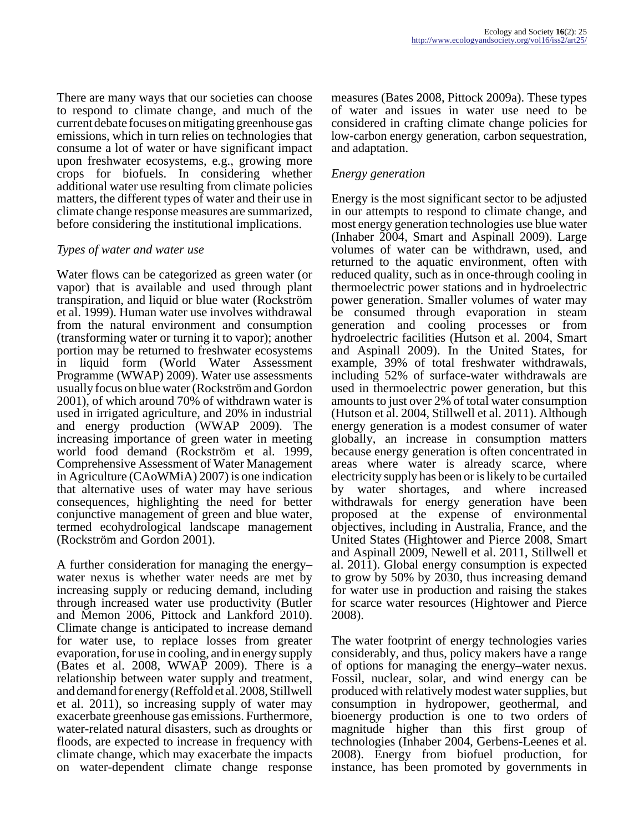There are many ways that our societies can choose to respond to climate change, and much of the current debate focuses on mitigating greenhouse gas emissions, which in turn relies on technologies that consume a lot of water or have significant impact upon freshwater ecosystems, e.g., growing more crops for biofuels. In considering whether additional water use resulting from climate policies matters, the different types of water and their use in climate change response measures are summarized, before considering the institutional implications.

#### *Types of water and water use*

Water flows can be categorized as green water (or vapor) that is available and used through plant transpiration, and liquid or blue water (Rockström et al. 1999). Human water use involves withdrawal from the natural environment and consumption (transforming water or turning it to vapor); another portion may be returned to freshwater ecosystems in liquid form (World Water Assessment Programme (WWAP) 2009). Water use assessments usually focus on blue water (Rockström and Gordon 2001), of which around 70% of withdrawn water is used in irrigated agriculture, and 20% in industrial and energy production (WWAP 2009). The increasing importance of green water in meeting world food demand (Rockström et al. 1999, Comprehensive Assessment of Water Management in Agriculture (CAoWMiA) 2007) is one indication that alternative uses of water may have serious consequences, highlighting the need for better conjunctive management of green and blue water, termed ecohydrological landscape management (Rockström and Gordon 2001).

A further consideration for managing the energy– water nexus is whether water needs are met by increasing supply or reducing demand, including through increased water use productivity (Butler and Memon 2006, Pittock and Lankford 2010). Climate change is anticipated to increase demand for water use, to replace losses from greater evaporation, for use in cooling, and in energy supply (Bates et al. 2008, WWAP 2009). There is a relationship between water supply and treatment, and demand for energy (Reffold et al. 2008, Stillwell et al. 2011), so increasing supply of water may exacerbate greenhouse gas emissions. Furthermore, water-related natural disasters, such as droughts or floods, are expected to increase in frequency with climate change, which may exacerbate the impacts on water-dependent climate change response

measures (Bates 2008, Pittock 2009a). These types of water and issues in water use need to be considered in crafting climate change policies for low-carbon energy generation, carbon sequestration, and adaptation.

#### *Energy generation*

Energy is the most significant sector to be adjusted in our attempts to respond to climate change, and most energy generation technologies use blue water (Inhaber 2004, Smart and Aspinall 2009). Large volumes of water can be withdrawn, used, and returned to the aquatic environment, often with reduced quality, such as in once-through cooling in thermoelectric power stations and in hydroelectric power generation. Smaller volumes of water may be consumed through evaporation in steam generation and cooling processes or from hydroelectric facilities (Hutson et al. 2004, Smart and Aspinall 2009). In the United States, for example, 39% of total freshwater withdrawals, including 52% of surface-water withdrawals are used in thermoelectric power generation, but this amounts to just over 2% of total water consumption (Hutson et al. 2004, Stillwell et al. 2011). Although energy generation is a modest consumer of water globally, an increase in consumption matters because energy generation is often concentrated in areas where water is already scarce, where electricity supply has been or is likely to be curtailed by water shortages, and where increased withdrawals for energy generation have been proposed at the expense of environmental objectives, including in Australia, France, and the United States (Hightower and Pierce 2008, Smart and Aspinall 2009, Newell et al. 2011, Stillwell et al. 2011). Global energy consumption is expected to grow by 50% by 2030, thus increasing demand for water use in production and raising the stakes for scarce water resources (Hightower and Pierce 2008).

The water footprint of energy technologies varies considerably, and thus, policy makers have a range of options for managing the energy–water nexus. Fossil, nuclear, solar, and wind energy can be produced with relatively modest water supplies, but consumption in hydropower, geothermal, and bioenergy production is one to two orders of magnitude higher than this first group of technologies (Inhaber 2004, Gerbens-Leenes et al. 2008). Energy from biofuel production, for instance, has been promoted by governments in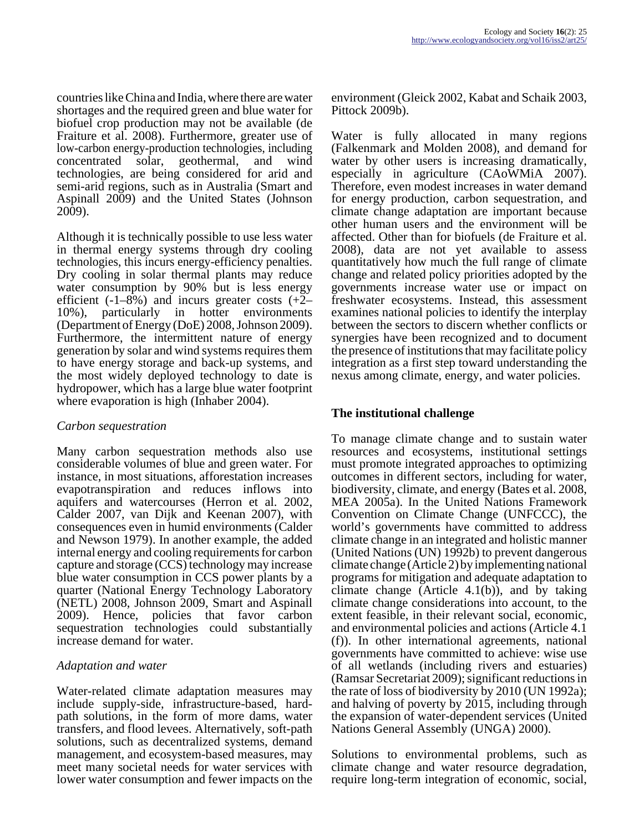countries like China and India, where there are water shortages and the required green and blue water for biofuel crop production may not be available (de Fraiture et al. 2008). Furthermore, greater use of low-carbon energy-production technologies, including concentrated solar, geothermal, and wind technologies, are being considered for arid and semi-arid regions, such as in Australia (Smart and Aspinall 2009) and the United States (Johnson 2009).

Although it is technically possible to use less water in thermal energy systems through dry cooling technologies, this incurs energy-efficiency penalties. Dry cooling in solar thermal plants may reduce water consumption by 90% but is less energy efficient  $(-1-8\%)$  and incurs greater costs  $(+2-)$ 10%), particularly in hotter environments (Department of Energy (DoE) 2008, Johnson 2009). Furthermore, the intermittent nature of energy generation by solar and wind systems requires them to have energy storage and back-up systems, and the most widely deployed technology to date is hydropower, which has a large blue water footprint where evaporation is high (Inhaber 2004).

#### *Carbon sequestration*

Many carbon sequestration methods also use considerable volumes of blue and green water. For instance, in most situations, afforestation increases evapotranspiration and reduces inflows into aquifers and watercourses (Herron et al. 2002, Calder 2007, van Dijk and Keenan 2007), with consequences even in humid environments (Calder and Newson 1979). In another example, the added internal energy and cooling requirements for carbon capture and storage (CCS) technology may increase blue water consumption in CCS power plants by a quarter (National Energy Technology Laboratory (NETL) 2008, Johnson 2009, Smart and Aspinall 2009). Hence, policies that favor carbon sequestration technologies could substantially increase demand for water.

#### *Adaptation and water*

Water-related climate adaptation measures may include supply-side, infrastructure-based, hardpath solutions, in the form of more dams, water transfers, and flood levees. Alternatively, soft-path solutions, such as decentralized systems, demand management, and ecosystem-based measures, may meet many societal needs for water services with lower water consumption and fewer impacts on the

environment (Gleick 2002, Kabat and Schaik 2003, Pittock 2009b).

Water is fully allocated in many regions (Falkenmark and Molden 2008), and demand for water by other users is increasing dramatically, especially in agriculture (CAoWMiA 2007). Therefore, even modest increases in water demand for energy production, carbon sequestration, and climate change adaptation are important because other human users and the environment will be affected. Other than for biofuels (de Fraiture et al. 2008), data are not yet available to assess quantitatively how much the full range of climate change and related policy priorities adopted by the governments increase water use or impact on freshwater ecosystems. Instead, this assessment examines national policies to identify the interplay between the sectors to discern whether conflicts or synergies have been recognized and to document the presence of institutions that may facilitate policy integration as a first step toward understanding the nexus among climate, energy, and water policies.

### **The institutional challenge**

To manage climate change and to sustain water resources and ecosystems, institutional settings must promote integrated approaches to optimizing outcomes in different sectors, including for water, biodiversity, climate, and energy (Bates et al. 2008, MEA 2005a). In the United Nations Framework Convention on Climate Change (UNFCCC), the world's governments have committed to address climate change in an integrated and holistic manner (United Nations (UN) 1992b) to prevent dangerous climate change (Article 2) by implementing national programs for mitigation and adequate adaptation to climate change (Article 4.1(b)), and by taking climate change considerations into account, to the extent feasible, in their relevant social, economic, and environmental policies and actions (Article 4.1 (f)). In other international agreements, national governments have committed to achieve: wise use of all wetlands (including rivers and estuaries) (Ramsar Secretariat 2009); significant reductions in the rate of loss of biodiversity by 2010 (UN 1992a); and halving of poverty by 2015, including through the expansion of water-dependent services (United Nations General Assembly (UNGA) 2000).

Solutions to environmental problems, such as climate change and water resource degradation, require long-term integration of economic, social,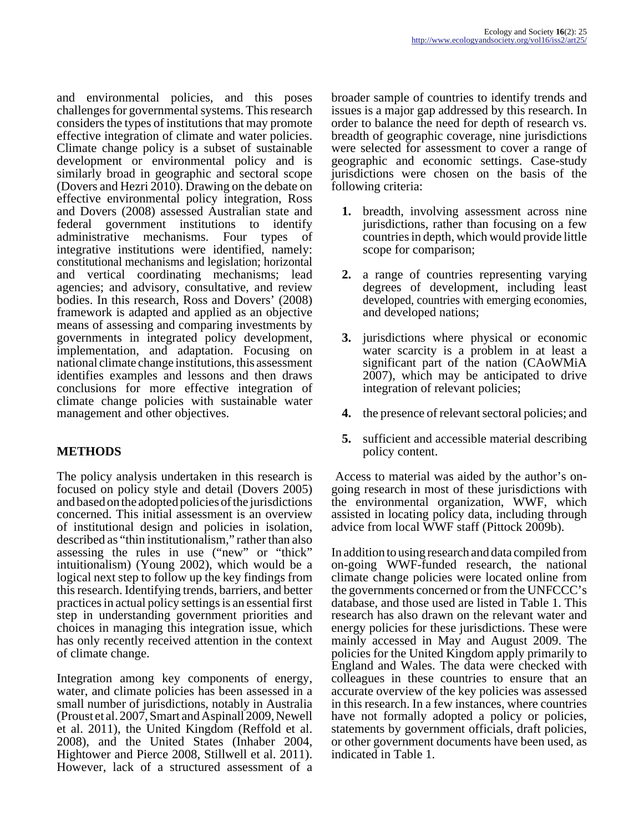and environmental policies, and this poses challenges for governmental systems. This research considers the types of institutions that may promote effective integration of climate and water policies. Climate change policy is a subset of sustainable development or environmental policy and is similarly broad in geographic and sectoral scope (Dovers and Hezri 2010). Drawing on the debate on effective environmental policy integration, Ross and Dovers (2008) assessed Australian state and federal government institutions to identify administrative mechanisms. Four types of integrative institutions were identified, namely: constitutional mechanisms and legislation; horizontal and vertical coordinating mechanisms; lead agencies; and advisory, consultative, and review bodies. In this research, Ross and Dovers' (2008) framework is adapted and applied as an objective means of assessing and comparing investments by governments in integrated policy development, implementation, and adaptation. Focusing on national climate change institutions, this assessment identifies examples and lessons and then draws conclusions for more effective integration of climate change policies with sustainable water management and other objectives.

## **METHODS**

The policy analysis undertaken in this research is focused on policy style and detail (Dovers 2005) and based on the adopted policies of the jurisdictions concerned. This initial assessment is an overview of institutional design and policies in isolation, described as "thin institutionalism," rather than also assessing the rules in use ("new" or "thick" intuitionalism) (Young 2002), which would be a logical next step to follow up the key findings from this research. Identifying trends, barriers, and better practices in actual policy settings is an essential first step in understanding government priorities and choices in managing this integration issue, which has only recently received attention in the context of climate change.

Integration among key components of energy, water, and climate policies has been assessed in a small number of jurisdictions, notably in Australia (Proust et al. 2007, Smart and Aspinall 2009, Newell et al. 2011), the United Kingdom (Reffold et al. 2008), and the United States (Inhaber 2004, Hightower and Pierce 2008, Stillwell et al. 2011). However, lack of a structured assessment of a

broader sample of countries to identify trends and issues is a major gap addressed by this research. In order to balance the need for depth of research vs. breadth of geographic coverage, nine jurisdictions were selected for assessment to cover a range of geographic and economic settings. Case-study jurisdictions were chosen on the basis of the following criteria:

- **1.** breadth, involving assessment across nine jurisdictions, rather than focusing on a few countries in depth, which would provide little scope for comparison;
- **2.** a range of countries representing varying degrees of development, including least developed, countries with emerging economies, and developed nations;
- **3.** jurisdictions where physical or economic water scarcity is a problem in at least a significant part of the nation (CAoWMiA 2007), which may be anticipated to drive integration of relevant policies;
- **4.** the presence of relevant sectoral policies; and
- **5.** sufficient and accessible material describing policy content.

 Access to material was aided by the author's ongoing research in most of these jurisdictions with the environmental organization, WWF, which assisted in locating policy data, including through advice from local WWF staff (Pittock 2009b).

In addition to using research and data compiled from on-going WWF-funded research, the national climate change policies were located online from the governments concerned or from the UNFCCC's database, and those used are listed in Table 1. This research has also drawn on the relevant water and energy policies for these jurisdictions. These were mainly accessed in May and August 2009. The policies for the United Kingdom apply primarily to England and Wales. The data were checked with colleagues in these countries to ensure that an accurate overview of the key policies was assessed in this research. In a few instances, where countries have not formally adopted a policy or policies, statements by government officials, draft policies, or other government documents have been used, as indicated in Table 1.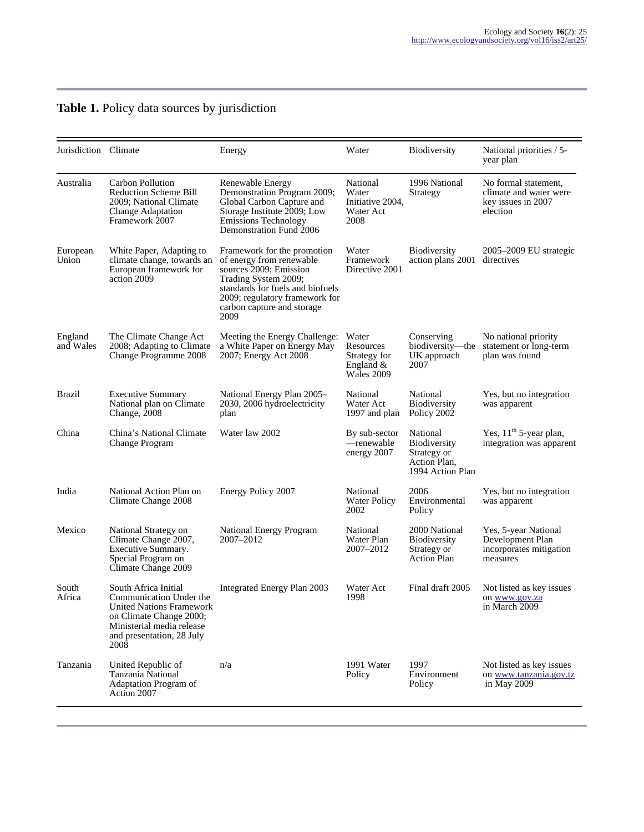## **Table 1.** Policy data sources by jurisdiction

| Jurisdiction Climate |                                                                                                                                                                                 | Energy                                                                                                                                                                                                                | Water                                                            | Biodiversity                                                                | National priorities / 5-<br>year plan                                            |  |
|----------------------|---------------------------------------------------------------------------------------------------------------------------------------------------------------------------------|-----------------------------------------------------------------------------------------------------------------------------------------------------------------------------------------------------------------------|------------------------------------------------------------------|-----------------------------------------------------------------------------|----------------------------------------------------------------------------------|--|
| Australia            | <b>Carbon Pollution</b><br><b>Reduction Scheme Bill</b><br>2009; National Climate<br><b>Change Adaptation</b><br>Framework 2007                                                 | Renewable Energy<br>Demonstration Program 2009;<br>Global Carbon Capture and<br>Storage Institute 2009; Low<br><b>Emissions Technology</b><br>Demonstration Fund 2006                                                 | National<br>Water<br>Initiative 2004,<br>Water Act<br>2008       | 1996 National<br>Strategy                                                   | No formal statement,<br>climate and water were<br>key issues in 2007<br>election |  |
| European<br>Union    | White Paper, Adapting to<br>climate change, towards an<br>European framework for<br>action 2009                                                                                 | Framework for the promotion<br>of energy from renewable<br>sources 2009; Emission<br>Trading System 2009;<br>standards for fuels and biofuels<br>2009; regulatory framework for<br>carbon capture and storage<br>2009 | Water<br>Framework<br>Directive 2001                             | <b>Biodiversity</b><br>action plans 2001                                    | $2005 - 2009$ EU strategic<br>directives                                         |  |
| England<br>and Wales | The Climate Change Act<br>2008; Adapting to Climate<br>Change Programme 2008                                                                                                    | Meeting the Energy Challenge:<br>a White Paper on Energy May<br>2007; Energy Act 2008                                                                                                                                 | Water<br>Resources<br>Strategy for<br>England $\&$<br>Wales 2009 | Conserving<br>biodiversity-the<br>UK approach<br>2007                       | No national priority<br>statement or long-term<br>plan was found                 |  |
| <b>Brazil</b>        | <b>Executive Summary</b><br>National plan on Climate<br>Change, 2008                                                                                                            | National Energy Plan 2005-<br>2030, 2006 hydroelectricity<br>plan                                                                                                                                                     | National<br>Water Act<br>1997 and plan                           | National<br>Biodiversity<br>Policy 2002                                     | Yes, but no integration<br>was apparent                                          |  |
| China                | China's National Climate<br>Change Program                                                                                                                                      | Water law 2002                                                                                                                                                                                                        | By sub-sector<br>—renewable<br>energy 2007                       | National<br>Biodiversity<br>Strategy or<br>Action Plan,<br>1994 Action Plan | Yes, $11th$ 5-year plan,<br>integration was apparent                             |  |
| India                | National Action Plan on<br>Climate Change 2008                                                                                                                                  | Energy Policy 2007                                                                                                                                                                                                    | National<br>Water Policy<br>2002                                 | 2006<br>Environmental<br>Policy                                             | Yes, but no integration<br>was apparent                                          |  |
| Mexico               | National Strategy on<br>Climate Change 2007,<br>Executive Summary.<br>Special Program on<br>Climate Change 2009                                                                 | National Energy Program<br>2007–2012                                                                                                                                                                                  | National<br>Water Plan<br>2007–2012                              | 2000 National<br><b>Biodiversity</b><br>Strategy or<br><b>Action Plan</b>   | Yes, 5-year National<br>Development Plan<br>incorporates mitigation<br>measures  |  |
| South<br>Africa      | South Africa Initial<br>Communication Under the<br><b>United Nations Framework</b><br>on Climate Change 2000;<br>Ministerial media release<br>and presentation, 28 July<br>2008 | Integrated Energy Plan 2003                                                                                                                                                                                           | Water Act<br>1998                                                | Final draft 2005                                                            | Not listed as key issues<br>on www.gov.za<br>in March 2009                       |  |
| Tanzania             | United Republic of<br>Tanzania National<br><b>Adaptation Program of</b><br>Action 2007                                                                                          | n/a                                                                                                                                                                                                                   | 1991 Water<br>Policy                                             | 1997<br>Environment<br>Policy                                               | Not listed as key issues<br>on www.tanzania.gov.tz<br>in May 2009                |  |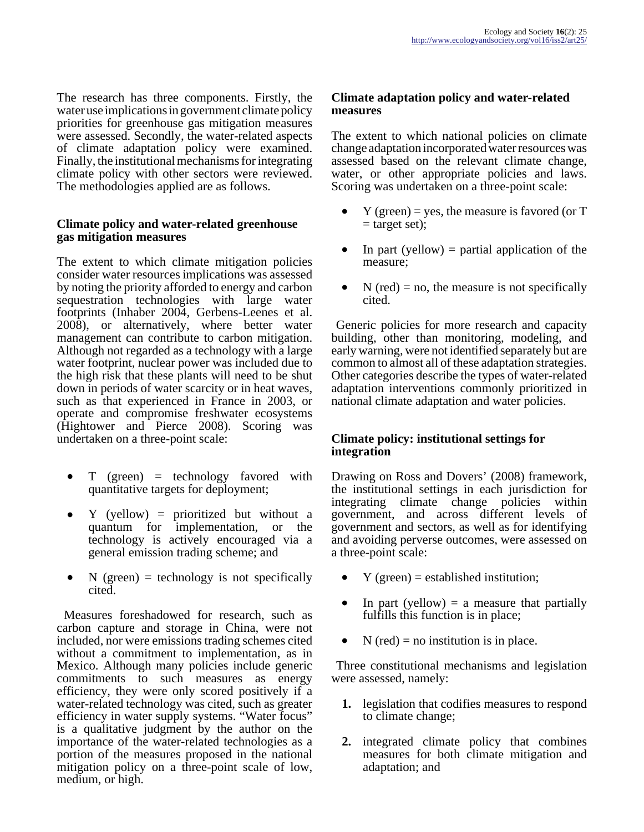The research has three components. Firstly, the water use implications in government climate policy priorities for greenhouse gas mitigation measures were assessed. Secondly, the water-related aspects of climate adaptation policy were examined. Finally, the institutional mechanisms for integrating climate policy with other sectors were reviewed. The methodologies applied are as follows.

#### **Climate policy and water-related greenhouse gas mitigation measures**

The extent to which climate mitigation policies consider water resources implications was assessed by noting the priority afforded to energy and carbon sequestration technologies with large water footprints (Inhaber 2004, Gerbens-Leenes et al. 2008), or alternatively, where better water management can contribute to carbon mitigation. Although not regarded as a technology with a large water footprint, nuclear power was included due to the high risk that these plants will need to be shut down in periods of water scarcity or in heat waves, such as that experienced in France in 2003, or operate and compromise freshwater ecosystems (Hightower and Pierce 2008). Scoring was undertaken on a three-point scale:

- $T$  (green) = technology favored with quantitative targets for deployment;
- Y (yellow) = prioritized but without a quantum for implementation, or the technology is actively encouraged via a general emission trading scheme; and
- N (green) = technology is not specifically cited.

 Measures foreshadowed for research, such as carbon capture and storage in China, were not included, nor were emissions trading schemes cited without a commitment to implementation, as in Mexico. Although many policies include generic commitments to such measures as energy efficiency, they were only scored positively if a water-related technology was cited, such as greater efficiency in water supply systems. "Water focus" is a qualitative judgment by the author on the importance of the water-related technologies as a portion of the measures proposed in the national mitigation policy on a three-point scale of low, medium, or high.

#### **Climate adaptation policy and water-related measures**

The extent to which national policies on climate change adaptation incorporated water resources was assessed based on the relevant climate change, water, or other appropriate policies and laws. Scoring was undertaken on a three-point scale:

- $Y$  (green) = yes, the measure is favored (or T  $=$  target set);
- In part (yellow) = partial application of the measure;
- $N$  (red) = no, the measure is not specifically cited.

 Generic policies for more research and capacity building, other than monitoring, modeling, and early warning, were not identified separately but are common to almost all of these adaptation strategies. Other categories describe the types of water-related adaptation interventions commonly prioritized in national climate adaptation and water policies.

#### **Climate policy: institutional settings for integration**

Drawing on Ross and Dovers' (2008) framework, the institutional settings in each jurisdiction for integrating climate change policies within government, and across different levels of government and sectors, as well as for identifying and avoiding perverse outcomes, were assessed on a three-point scale:

- $Y$  (green) = established institution;
- In part (yellow) = a measure that partially fulfills this function is in place;
- $N$  (red) = no institution is in place.

 Three constitutional mechanisms and legislation were assessed, namely:

- **1.** legislation that codifies measures to respond to climate change;
- **2.** integrated climate policy that combines measures for both climate mitigation and adaptation; and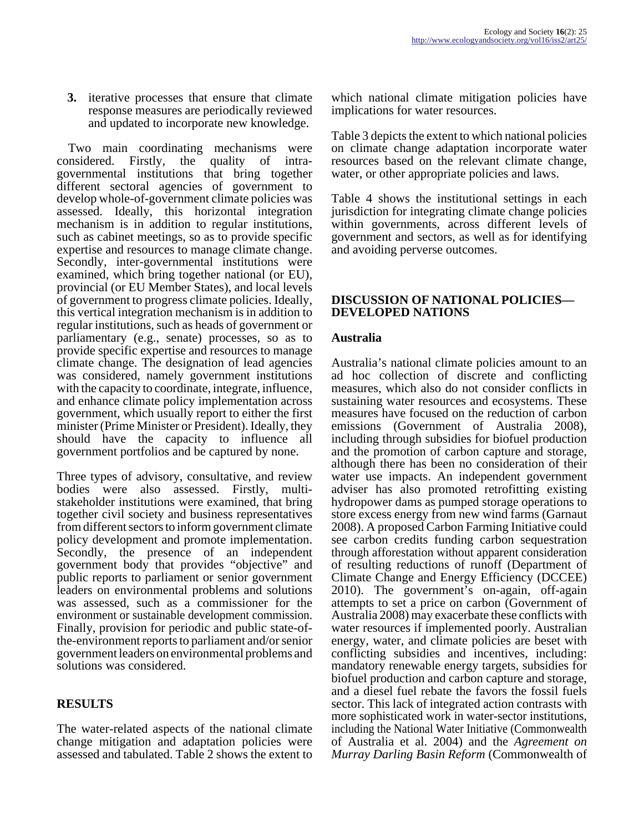**3.** iterative processes that ensure that climate response measures are periodically reviewed and updated to incorporate new knowledge.

Two main coordinating mechanisms were<br>considered. Firstly, the quality of intra-Firstly, the quality of intragovernmental institutions that bring together different sectoral agencies of government to develop whole-of-government climate policies was assessed. Ideally, this horizontal integration mechanism is in addition to regular institutions, such as cabinet meetings, so as to provide specific expertise and resources to manage climate change. Secondly, inter-governmental institutions were examined, which bring together national (or EU), provincial (or EU Member States), and local levels of government to progress climate policies. Ideally, this vertical integration mechanism is in addition to regular institutions, such as heads of government or parliamentary (e.g., senate) processes, so as to provide specific expertise and resources to manage climate change. The designation of lead agencies was considered, namely government institutions with the capacity to coordinate, integrate, influence, and enhance climate policy implementation across government, which usually report to either the first minister (Prime Minister or President). Ideally, they should have the capacity to influence all government portfolios and be captured by none.

Three types of advisory, consultative, and review bodies were also assessed. Firstly, multistakeholder institutions were examined, that bring together civil society and business representatives from different sectors to inform government climate policy development and promote implementation. Secondly, the presence of an independent government body that provides "objective" and public reports to parliament or senior government leaders on environmental problems and solutions was assessed, such as a commissioner for the environment or sustainable development commission. Finally, provision for periodic and public state-ofthe-environment reports to parliament and/or senior government leaders on environmental problems and solutions was considered.

#### **RESULTS**

The water-related aspects of the national climate change mitigation and adaptation policies were assessed and tabulated. Table 2 shows the extent to which national climate mitigation policies have implications for water resources.

Table 3 depicts the extent to which national policies on climate change adaptation incorporate water resources based on the relevant climate change, water, or other appropriate policies and laws.

Table 4 shows the institutional settings in each jurisdiction for integrating climate change policies within governments, across different levels of government and sectors, as well as for identifying and avoiding perverse outcomes.

#### **DISCUSSION OF NATIONAL POLICIES— DEVELOPED NATIONS**

#### **Australia**

Australia's national climate policies amount to an ad hoc collection of discrete and conflicting measures, which also do not consider conflicts in sustaining water resources and ecosystems. These measures have focused on the reduction of carbon emissions (Government of Australia 2008), including through subsidies for biofuel production and the promotion of carbon capture and storage, although there has been no consideration of their water use impacts. An independent government adviser has also promoted retrofitting existing hydropower dams as pumped storage operations to store excess energy from new wind farms (Garnaut 2008). A proposed Carbon Farming Initiative could see carbon credits funding carbon sequestration through afforestation without apparent consideration of resulting reductions of runoff (Department of Climate Change and Energy Efficiency (DCCEE) 2010). The government's on-again, off-again attempts to set a price on carbon (Government of Australia 2008) may exacerbate these conflicts with water resources if implemented poorly. Australian energy, water, and climate policies are beset with conflicting subsidies and incentives, including: mandatory renewable energy targets, subsidies for biofuel production and carbon capture and storage, and a diesel fuel rebate the favors the fossil fuels sector. This lack of integrated action contrasts with more sophisticated work in water-sector institutions, including the National Water Initiative (Commonwealth of Australia et al. 2004) and the *Agreement on Murray Darling Basin Reform* (Commonwealth of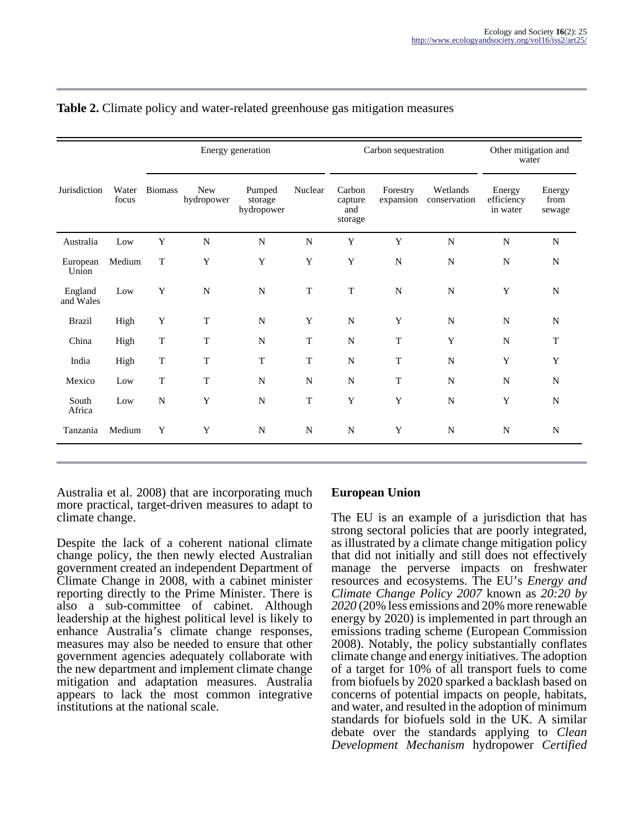|                      |                | Energy generation |                          |                                 |             |                                     | Carbon sequestration  | Other mitigation and<br>water |                                  |                          |
|----------------------|----------------|-------------------|--------------------------|---------------------------------|-------------|-------------------------------------|-----------------------|-------------------------------|----------------------------------|--------------------------|
| Jurisdiction         | Water<br>focus | <b>Biomass</b>    | <b>New</b><br>hydropower | Pumped<br>storage<br>hydropower | Nuclear     | Carbon<br>capture<br>and<br>storage | Forestry<br>expansion | Wetlands<br>conservation      | Energy<br>efficiency<br>in water | Energy<br>from<br>sewage |
| Australia            | Low            | Y                 | N                        | $\mathbf N$                     | $\mathbf N$ | $\mathbf Y$                         | Y                     | $\mathbf N$                   | $\mathbf N$                      | $\mathbf N$              |
| European<br>Union    | Medium         | T                 | Y                        | Y                               | Y           | Y                                   | N                     | N                             | N                                | $\mathbf N$              |
| England<br>and Wales | Low            | Y                 | N                        | ${\bf N}$                       | $\mathbf T$ | $\mathbf T$                         | ${\bf N}$             | ${\bf N}$                     | Y                                | $\mathbf N$              |
| <b>Brazil</b>        | High           | Y                 | $\mathbf T$              | N                               | Y           | N                                   | Y                     | N                             | N                                | $\mathbf N$              |
| China                | High           | $\mathbf T$       | T                        | $\mathbf N$                     | T           | N                                   | T                     | Y                             | $\mathbf N$                      | T                        |
| India                | High           | $\mathbf T$       | T                        | T                               | T           | $\mathbf N$                         | T                     | N                             | Y                                | Y                        |
| Mexico               | Low            | $\mathbf T$       | $\mathbf T$              | N                               | N           | N                                   | T                     | N                             | N                                | N                        |
| South<br>Africa      | Low            | $\mathbf N$       | Y                        | $\mathbf N$                     | T           | Y                                   | Y                     | $\mathbf N$                   | Y                                | $\mathbf N$              |
| Tanzania             | Medium         | Y                 | Y                        | $\mathbf N$                     | ${\bf N}$   | ${\bf N}$                           | Y                     | N                             | N                                | N                        |

#### **Table 2.** Climate policy and water-related greenhouse gas mitigation measures

Australia et al. 2008) that are incorporating much more practical, target-driven measures to adapt to climate change.

Despite the lack of a coherent national climate change policy, the then newly elected Australian government created an independent Department of Climate Change in 2008, with a cabinet minister reporting directly to the Prime Minister. There is also a sub-committee of cabinet. Although leadership at the highest political level is likely to enhance Australia's climate change responses, measures may also be needed to ensure that other government agencies adequately collaborate with the new department and implement climate change mitigation and adaptation measures. Australia appears to lack the most common integrative institutions at the national scale.

## **European Union**

The EU is an example of a jurisdiction that has strong sectoral policies that are poorly integrated, as illustrated by a climate change mitigation policy that did not initially and still does not effectively manage the perverse impacts on freshwater resources and ecosystems. The EU's *Energy and Climate Change Policy 2007* known as *20:20 by 2020* (20% less emissions and 20% more renewable energy by 2020) is implemented in part through an emissions trading scheme (European Commission 2008). Notably, the policy substantially conflates climate change and energy initiatives. The adoption of a target for 10% of all transport fuels to come from biofuels by 2020 sparked a backlash based on concerns of potential impacts on people, habitats, and water, and resulted in the adoption of minimum standards for biofuels sold in the UK. A similar debate over the standards applying to *Clean Development Mechanism* hydropower *Certified*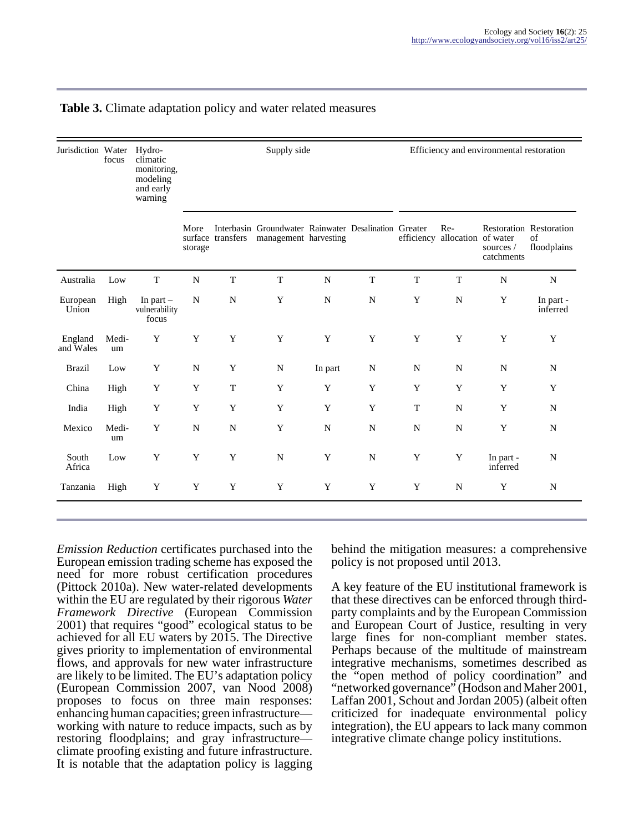| Jurisdiction Water   | focus       | Hydro-<br>climatic<br>monitoring,<br>modeling<br>and early<br>warning |                 |                   | Supply side                                                                    |             |             | Efficiency and environmental restoration |                                       |                         |                                                     |
|----------------------|-------------|-----------------------------------------------------------------------|-----------------|-------------------|--------------------------------------------------------------------------------|-------------|-------------|------------------------------------------|---------------------------------------|-------------------------|-----------------------------------------------------|
|                      |             |                                                                       | More<br>storage | surface transfers | Interbasin Groundwater Rainwater Desalination Greater<br>management harvesting |             |             |                                          | Re-<br>efficiency allocation of water | sources /<br>catchments | <b>Restoration Restoration</b><br>of<br>floodplains |
| Australia            | Low         | $\mathbf T$                                                           | $\mathbf N$     | T                 | T                                                                              | N           | T           | T                                        | T                                     | ${\bf N}$               | N                                                   |
| European<br>Union    | High        | In part $-$<br>vulnerability<br>focus                                 | ${\bf N}$       | ${\bf N}$         | Y                                                                              | $\mathbf N$ | ${\bf N}$   | $\mathbf Y$                              | ${\bf N}$                             | $\mathbf Y$             | In part -<br>inferred                               |
| England<br>and Wales | Medi-<br>um | Y                                                                     | Y               | Y                 | Y                                                                              | Y           | Y           | Y                                        | Y                                     | Y                       | Y                                                   |
| <b>Brazil</b>        | Low         | Y                                                                     | $\mathbf N$     | Y                 | N                                                                              | In part     | $\mathbf N$ | N                                        | N                                     | N                       | N                                                   |
| China                | High        | Y                                                                     | Y               | T                 | Y                                                                              | Y           | Y           | Y                                        | Y                                     | Y                       | Y                                                   |
| India                | High        | Y                                                                     | Y               | Y                 | Y                                                                              | Y           | Y           | T                                        | $\mathbf N$                           | Y                       | $\mathbf N$                                         |
| Mexico               | Medi-<br>um | Y                                                                     | $\mathbf N$     | $\mathbf N$       | Y                                                                              | N           | $\mathbf N$ | $\mathbf N$                              | N                                     | Y                       | $\mathbf N$                                         |
| South<br>Africa      | Low         | Y                                                                     | Y               | Y                 | $\mathbf N$                                                                    | Y           | $\mathbf N$ | Y                                        | Y                                     | In part -<br>inferred   | $\mathbf N$                                         |
| Tanzania             | High        | Y                                                                     | Y               | Y                 | Y                                                                              | Y           | Y           | $\mathbf Y$                              | ${\bf N}$                             | Y                       | ${\bf N}$                                           |
|                      |             |                                                                       |                 |                   |                                                                                |             |             |                                          |                                       |                         |                                                     |

#### **Table 3.** Climate adaptation policy and water related measures

*Emission Reduction* certificates purchased into the European emission trading scheme has exposed the need for more robust certification procedures (Pittock 2010a). New water-related developments within the EU are regulated by their rigorous *Water Framework Directive* (European Commission 2001) that requires "good" ecological status to be achieved for all EU waters by 2015. The Directive gives priority to implementation of environmental flows, and approvals for new water infrastructure are likely to be limited. The EU's adaptation policy (European Commission 2007, van Nood 2008) proposes to focus on three main responses: enhancing human capacities; green infrastructure working with nature to reduce impacts, such as by restoring floodplains; and gray infrastructure climate proofing existing and future infrastructure. It is notable that the adaptation policy is lagging

behind the mitigation measures: a comprehensive policy is not proposed until 2013.

A key feature of the EU institutional framework is that these directives can be enforced through thirdparty complaints and by the European Commission and European Court of Justice, resulting in very large fines for non-compliant member states. Perhaps because of the multitude of mainstream integrative mechanisms, sometimes described as the "open method of policy coordination" and "networked governance" (Hodson and Maher 2001, Laffan 2001, Schout and Jordan 2005) (albeit often criticized for inadequate environmental policy integration), the EU appears to lack many common integrative climate change policy institutions.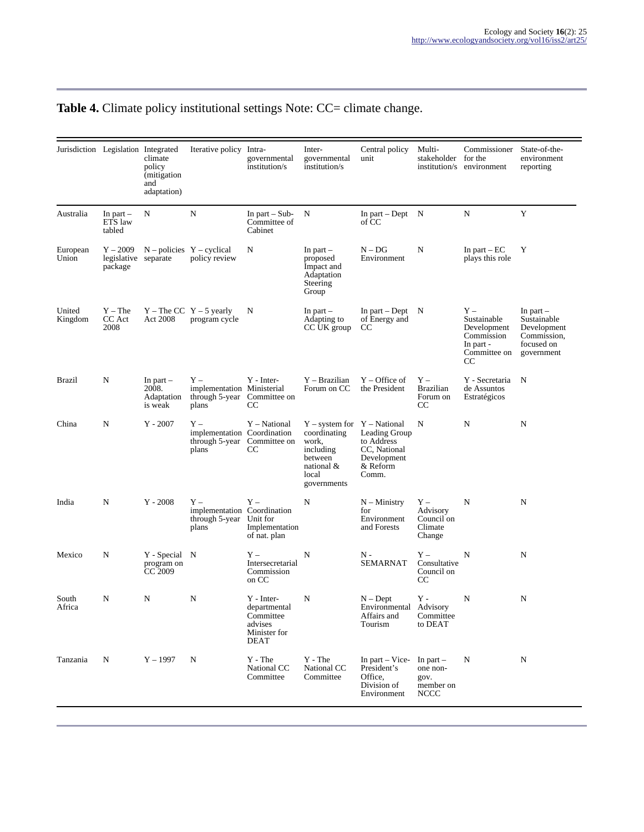# Table 4. Climate policy institutional settings Note: CC= climate change.

| Jurisdiction Legislation Integrated |                                               | climate<br>policy<br>(mitigation)<br>and<br>adaptation) | Iterative policy Intra-                                                     | governmental<br>institution/s                                                     | Inter-<br>governmental<br>institution/s                                                                                 | Central policy<br>unit                                                          | Multi-<br>stakeholder for the                               | Commissioner<br>institution/s environment                                            | State-of-the-<br>environment<br>reporting                                            |
|-------------------------------------|-----------------------------------------------|---------------------------------------------------------|-----------------------------------------------------------------------------|-----------------------------------------------------------------------------------|-------------------------------------------------------------------------------------------------------------------------|---------------------------------------------------------------------------------|-------------------------------------------------------------|--------------------------------------------------------------------------------------|--------------------------------------------------------------------------------------|
| Australia                           | In part $-$<br>ETS law<br>tabled              | N                                                       | N                                                                           | In part $-$ Sub-<br>Committee of<br>Cabinet                                       | N                                                                                                                       | In part – Dept $N$<br>of CC                                                     |                                                             | N                                                                                    | Y                                                                                    |
| European<br>Union                   | $Y - 2009$<br>legislative separate<br>package |                                                         | $N$ – policies $Y$ – cyclical<br>policy review                              | N                                                                                 | In part $-$<br>proposed<br>Impact and<br>Adaptation<br>Steering<br>Group                                                | $N - DG$<br>Environment                                                         | N                                                           | In part $-EC$<br>plays this role                                                     | Y                                                                                    |
| United<br>Kingdom                   | $Y$ – The<br>CC Act<br>2008                   | Act 2008                                                | $Y$ – The CC $Y$ – 5 yearly<br>program cycle                                | N                                                                                 | In part $-$<br>Adapting to<br>CC UK group                                                                               | In part $-$ Dept N<br>of Energy and<br><sub>CC</sub>                            |                                                             | $Y -$<br>Sustainable<br>Development<br>Commission<br>In part -<br>Committee on<br>CC | In part $-$<br>Sustainable<br>Development<br>Commission,<br>focused on<br>government |
| <b>Brazil</b>                       | N                                             | In part $-$<br>2008.<br>Adaptation<br>is weak           | $Y -$<br>implementation Ministerial<br>through 5-year Committee on<br>plans | Y - Inter-<br>CC                                                                  | Y – Brazilian<br>Forum on CC                                                                                            | $Y -$ Office of<br>the President                                                | ${\rm Y}-$<br><b>Brazilian</b><br>Forum on<br>CC            | Y - Secretaria<br>de Assuntos<br>Estratégicos                                        | N                                                                                    |
| China                               | N                                             | $Y - 2007$                                              | Y –<br>implementation Coordination<br>plans                                 | $Y - National$<br>through 5-year Committee on<br>CC                               | $Y - system for Y - National$<br>coordinating<br>work,<br>including<br>between<br>national $\&$<br>local<br>governments | Leading Group<br>to Address<br>CC, National<br>Development<br>& Reform<br>Comm. | N                                                           | N                                                                                    | N                                                                                    |
| India                               | N                                             | $Y - 2008$                                              | $Y -$<br>implementation Coordination<br>through 5-year Unit for<br>plans    | $Y -$<br>Implementation<br>of nat. plan                                           | N                                                                                                                       | $N -$ Ministry<br>for<br>Environment<br>and Forests                             | Y –<br>Advisory<br>Council on<br>Climate<br>Change          | N                                                                                    | N                                                                                    |
| Mexico                              | N                                             | Y - Special N<br>program on<br>CC 2009                  |                                                                             | $Y -$<br>Intersecretarial<br>Commission<br>on CC                                  | N                                                                                                                       | $N -$<br>SEMARNAT                                                               | $Y -$<br>Consultative<br>Council on<br>CC                   | N                                                                                    | N                                                                                    |
| South<br>Africa                     | N                                             | N                                                       | N                                                                           | Y - Inter-<br>departmental<br>Committee<br>advises<br>Minister for<br><b>DEAT</b> | N                                                                                                                       | $N - Dept$<br>Environmental Advisory<br>Affairs and<br>Tourism                  | Y -<br>Committee<br>to DEAT                                 | N                                                                                    | N                                                                                    |
| Tanzania                            | N                                             | $Y - 1997$                                              | N                                                                           | Y - The<br>National CC<br>Committee                                               | $Y$ - The<br>National CC<br>Committee                                                                                   | In part $-$ Vice-<br>President's<br>Office,<br>Division of<br>Environment       | In part $-$<br>one non-<br>gov.<br>member on<br><b>NCCC</b> | N                                                                                    | N                                                                                    |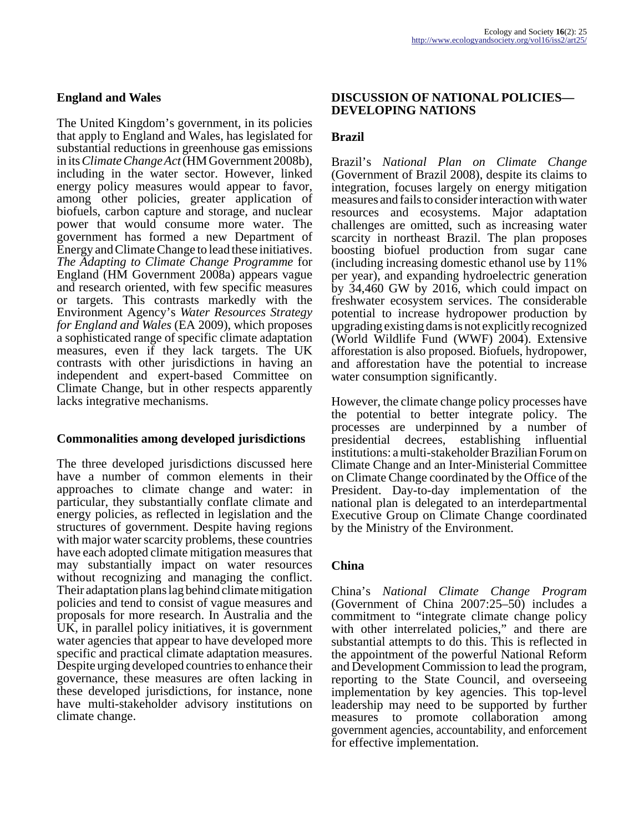#### **England and Wales**

The United Kingdom's government, in its policies that apply to England and Wales, has legislated for substantial reductions in greenhouse gas emissions in its *Climate Change Act* (HM Government 2008b), including in the water sector. However, linked energy policy measures would appear to favor, among other policies, greater application of biofuels, carbon capture and storage, and nuclear power that would consume more water. The government has formed a new Department of Energy and Climate Change to lead these initiatives. *The Adapting to Climate Change Programme* for England (HM Government 2008a) appears vague and research oriented, with few specific measures or targets. This contrasts markedly with the Environment Agency's *Water Resources Strategy for England and Wales* (EA 2009), which proposes a sophisticated range of specific climate adaptation measures, even if they lack targets. The UK contrasts with other jurisdictions in having an independent and expert-based Committee on Climate Change, but in other respects apparently lacks integrative mechanisms.

#### **Commonalities among developed jurisdictions**

The three developed jurisdictions discussed here have a number of common elements in their approaches to climate change and water: in particular, they substantially conflate climate and energy policies, as reflected in legislation and the structures of government. Despite having regions with major water scarcity problems, these countries have each adopted climate mitigation measures that may substantially impact on water resources without recognizing and managing the conflict. Their adaptation plans lag behind climate mitigation policies and tend to consist of vague measures and proposals for more research. In Australia and the UK, in parallel policy initiatives, it is government water agencies that appear to have developed more specific and practical climate adaptation measures. Despite urging developed countries to enhance their governance, these measures are often lacking in these developed jurisdictions, for instance, none have multi-stakeholder advisory institutions on climate change.

#### **DISCUSSION OF NATIONAL POLICIES— DEVELOPING NATIONS**

#### **Brazil**

Brazil's *National Plan on Climate Change* (Government of Brazil 2008), despite its claims to integration, focuses largely on energy mitigation measures and fails to consider interaction with water resources and ecosystems. Major adaptation challenges are omitted, such as increasing water scarcity in northeast Brazil. The plan proposes boosting biofuel production from sugar cane (including increasing domestic ethanol use by 11% per year), and expanding hydroelectric generation by 34,460 GW by 2016, which could impact on freshwater ecosystem services. The considerable potential to increase hydropower production by upgrading existing dams is not explicitly recognized (World Wildlife Fund (WWF) 2004). Extensive afforestation is also proposed. Biofuels, hydropower, and afforestation have the potential to increase water consumption significantly.

However, the climate change policy processes have the potential to better integrate policy. The processes are underpinned by a number of presidential decrees, establishing influential institutions: a multi-stakeholder Brazilian Forum on Climate Change and an Inter-Ministerial Committee on Climate Change coordinated by the Office of the President. Day-to-day implementation of the national plan is delegated to an interdepartmental Executive Group on Climate Change coordinated by the Ministry of the Environment.

#### **China**

China's *National Climate Change Program* (Government of China 2007:25–50) includes a commitment to "integrate climate change policy with other interrelated policies," and there are substantial attempts to do this. This is reflected in the appointment of the powerful National Reform and Development Commission to lead the program, reporting to the State Council, and overseeing implementation by key agencies. This top-level leadership may need to be supported by further measures to promote collaboration among government agencies, accountability, and enforcement for effective implementation.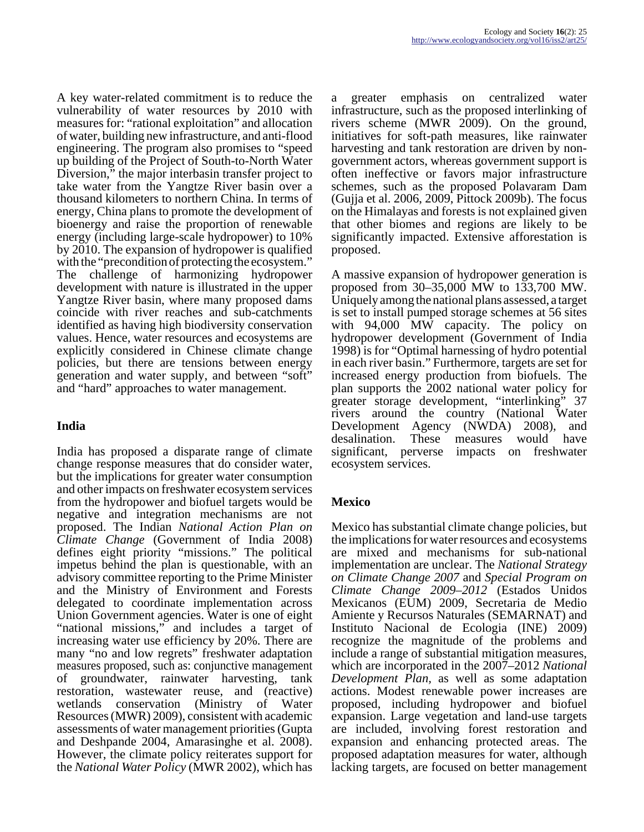A key water-related commitment is to reduce the vulnerability of water resources by 2010 with measures for: "rational exploitation" and allocation of water, building new infrastructure, and anti-flood engineering. The program also promises to "speed up building of the Project of South-to-North Water Diversion," the major interbasin transfer project to take water from the Yangtze River basin over a thousand kilometers to northern China. In terms of energy, China plans to promote the development of bioenergy and raise the proportion of renewable energy (including large-scale hydropower) to 10% by 2010. The expansion of hydropower is qualified with the "precondition of protecting the ecosystem." The challenge of harmonizing hydropower development with nature is illustrated in the upper Yangtze River basin, where many proposed dams coincide with river reaches and sub-catchments identified as having high biodiversity conservation values. Hence, water resources and ecosystems are explicitly considered in Chinese climate change policies, but there are tensions between energy generation and water supply, and between "soft" and "hard" approaches to water management.

## **India**

India has proposed a disparate range of climate change response measures that do consider water, but the implications for greater water consumption and other impacts on freshwater ecosystem services from the hydropower and biofuel targets would be negative and integration mechanisms are not proposed. The Indian *National Action Plan on Climate Change* (Government of India 2008) defines eight priority "missions." The political impetus behind the plan is questionable, with an advisory committee reporting to the Prime Minister and the Ministry of Environment and Forests delegated to coordinate implementation across Union Government agencies. Water is one of eight "national missions," and includes a target of increasing water use efficiency by 20%. There are many "no and low regrets" freshwater adaptation measures proposed, such as: conjunctive management of groundwater, rainwater harvesting, tank restoration, wastewater reuse, and (reactive) wetlands conservation (Ministry of Water Resources (MWR) 2009), consistent with academic assessments of water management priorities (Gupta and Deshpande 2004, Amarasinghe et al. 2008). However, the climate policy reiterates support for the *National Water Policy* (MWR 2002), which has

a greater emphasis on centralized water infrastructure, such as the proposed interlinking of rivers scheme (MWR 2009). On the ground, initiatives for soft-path measures, like rainwater harvesting and tank restoration are driven by nongovernment actors, whereas government support is often ineffective or favors major infrastructure schemes, such as the proposed Polavaram Dam (Gujja et al. 2006, 2009, Pittock 2009b). The focus on the Himalayas and forests is not explained given that other biomes and regions are likely to be significantly impacted. Extensive afforestation is proposed.

A massive expansion of hydropower generation is proposed from 30–35,000 MW to 133,700 MW. Uniquely among the national plans assessed, a target is set to install pumped storage schemes at 56 sites with 94,000 MW capacity. The policy on hydropower development (Government of India 1998) is for "Optimal harnessing of hydro potential in each river basin." Furthermore, targets are set for increased energy production from biofuels. The plan supports the 2002 national water policy for greater storage development, "interlinking" 37 rivers around the country (National Water Development Agency (NWDA) 2008), and desalination. These measures would have significant, perverse impacts on freshwater ecosystem services.

#### **Mexico**

Mexico has substantial climate change policies, but the implications for water resources and ecosystems are mixed and mechanisms for sub-national implementation are unclear. The *National Strategy on Climate Change 2007* and *Special Program on Climate Change 2009–2012* (Estados Unidos Mexicanos (EUM) 2009, Secretaria de Medio Amiente y Recursos Naturales (SEMARNAT) and Instituto Nacional de Ecologia (INE) 2009) recognize the magnitude of the problems and include a range of substantial mitigation measures, which are incorporated in the 2007–2012 *National Development Plan,* as well as some adaptation actions. Modest renewable power increases are proposed, including hydropower and biofuel expansion. Large vegetation and land-use targets are included, involving forest restoration and expansion and enhancing protected areas. The proposed adaptation measures for water, although lacking targets, are focused on better management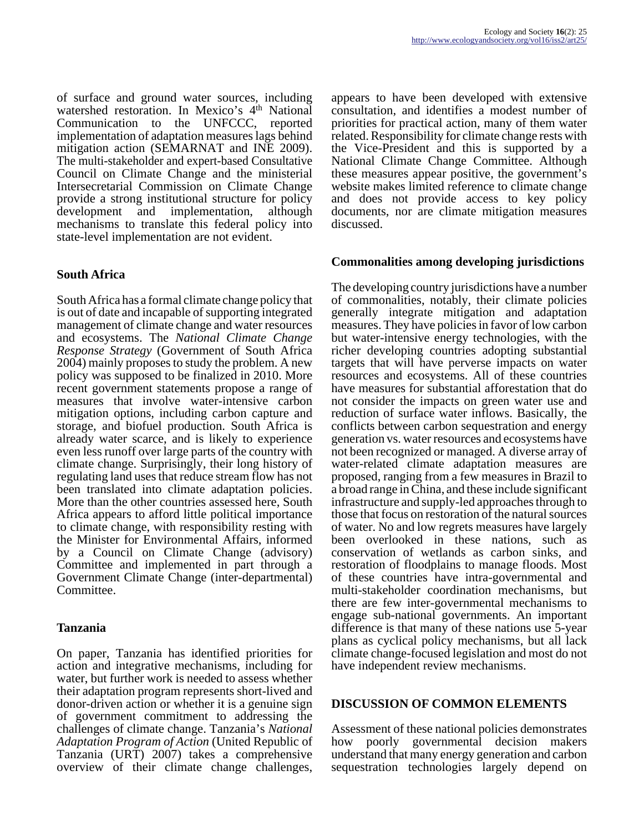of surface and ground water sources, including watershed restoration. In Mexico's 4<sup>th</sup> National Communication to the UNFCCC, reported implementation of adaptation measures lags behind mitigation action (SEMARNAT and INE 2009). The multi-stakeholder and expert-based Consultative Council on Climate Change and the ministerial Intersecretarial Commission on Climate Change provide a strong institutional structure for policy<br>development and implementation, although development and implementation, mechanisms to translate this federal policy into state-level implementation are not evident.

#### **South Africa**

South Africa has a formal climate change policy that is out of date and incapable of supporting integrated management of climate change and water resources and ecosystems. The *National Climate Change Response Strategy* (Government of South Africa 2004) mainly proposes to study the problem. A new policy was supposed to be finalized in 2010. More recent government statements propose a range of measures that involve water-intensive carbon mitigation options, including carbon capture and storage, and biofuel production. South Africa is already water scarce, and is likely to experience even less runoff over large parts of the country with climate change. Surprisingly, their long history of regulating land uses that reduce stream flow has not been translated into climate adaptation policies. More than the other countries assessed here, South Africa appears to afford little political importance to climate change, with responsibility resting with the Minister for Environmental Affairs, informed by a Council on Climate Change (advisory) Committee and implemented in part through a Government Climate Change (inter-departmental) Committee.

#### **Tanzania**

On paper, Tanzania has identified priorities for action and integrative mechanisms, including for water, but further work is needed to assess whether their adaptation program represents short-lived and donor-driven action or whether it is a genuine sign of government commitment to addressing the challenges of climate change. Tanzania's *National Adaptation Program of Action* (United Republic of Tanzania (URT) 2007) takes a comprehensive overview of their climate change challenges,

appears to have been developed with extensive consultation, and identifies a modest number of priorities for practical action, many of them water related. Responsibility for climate change rests with the Vice-President and this is supported by a National Climate Change Committee. Although these measures appear positive, the government's website makes limited reference to climate change and does not provide access to key policy documents, nor are climate mitigation measures discussed.

#### **Commonalities among developing jurisdictions**

The developing country jurisdictions have a number of commonalities, notably, their climate policies generally integrate mitigation and adaptation measures. They have policies in favor of low carbon but water-intensive energy technologies, with the richer developing countries adopting substantial targets that will have perverse impacts on water resources and ecosystems. All of these countries have measures for substantial afforestation that do not consider the impacts on green water use and reduction of surface water inflows. Basically, the conflicts between carbon sequestration and energy generation vs. water resources and ecosystems have not been recognized or managed. A diverse array of water-related climate adaptation measures are proposed, ranging from a few measures in Brazil to a broad range in China, and these include significant infrastructure and supply-led approaches through to those that focus on restoration of the natural sources of water. No and low regrets measures have largely been overlooked in these nations, such as conservation of wetlands as carbon sinks, and restoration of floodplains to manage floods. Most of these countries have intra-governmental and multi-stakeholder coordination mechanisms, but there are few inter-governmental mechanisms to engage sub-national governments. An important difference is that many of these nations use 5-year plans as cyclical policy mechanisms, but all lack climate change-focused legislation and most do not have independent review mechanisms.

#### **DISCUSSION OF COMMON ELEMENTS**

Assessment of these national policies demonstrates how poorly governmental decision makers understand that many energy generation and carbon sequestration technologies largely depend on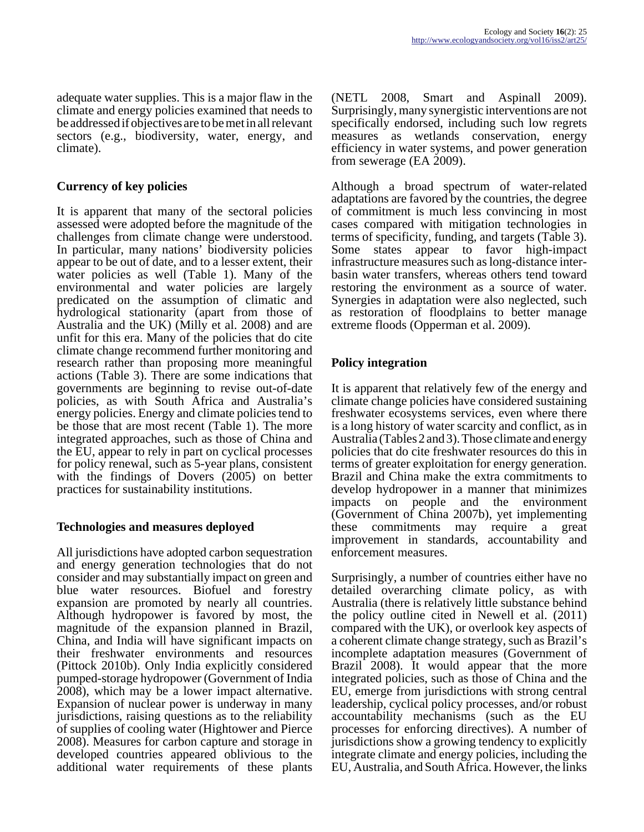adequate water supplies. This is a major flaw in the climate and energy policies examined that needs to be addressed if objectives are to be met in all relevant sectors (e.g., biodiversity, water, energy, and climate).

## **Currency of key policies**

It is apparent that many of the sectoral policies assessed were adopted before the magnitude of the challenges from climate change were understood. In particular, many nations' biodiversity policies appear to be out of date, and to a lesser extent, their water policies as well (Table 1). Many of the environmental and water policies are largely predicated on the assumption of climatic and hydrological stationarity (apart from those of Australia and the UK) (Milly et al. 2008) and are unfit for this era. Many of the policies that do cite climate change recommend further monitoring and research rather than proposing more meaningful actions (Table 3). There are some indications that governments are beginning to revise out-of-date policies, as with South Africa and Australia's energy policies. Energy and climate policies tend to be those that are most recent (Table 1). The more integrated approaches, such as those of China and the EU, appear to rely in part on cyclical processes for policy renewal, such as 5-year plans, consistent with the findings of Dovers (2005) on better practices for sustainability institutions.

#### **Technologies and measures deployed**

All jurisdictions have adopted carbon sequestration and energy generation technologies that do not consider and may substantially impact on green and blue water resources. Biofuel and forestry expansion are promoted by nearly all countries. Although hydropower is favored by most, the magnitude of the expansion planned in Brazil, China, and India will have significant impacts on their freshwater environments and resources (Pittock 2010b). Only India explicitly considered pumped-storage hydropower (Government of India 2008), which may be a lower impact alternative. Expansion of nuclear power is underway in many jurisdictions, raising questions as to the reliability of supplies of cooling water (Hightower and Pierce 2008). Measures for carbon capture and storage in developed countries appeared oblivious to the additional water requirements of these plants

(NETL 2008, Smart and Aspinall 2009). Surprisingly, many synergistic interventions are not specifically endorsed, including such low regrets measures as wetlands conservation, energy efficiency in water systems, and power generation from sewerage (EA 2009).

Although a broad spectrum of water-related adaptations are favored by the countries, the degree of commitment is much less convincing in most cases compared with mitigation technologies in terms of specificity, funding, and targets (Table 3). Some states appear to favor high-impact infrastructure measures such as long-distance interbasin water transfers, whereas others tend toward restoring the environment as a source of water. Synergies in adaptation were also neglected, such as restoration of floodplains to better manage extreme floods (Opperman et al. 2009).

## **Policy integration**

It is apparent that relatively few of the energy and climate change policies have considered sustaining freshwater ecosystems services, even where there is a long history of water scarcity and conflict, as in Australia (Tables 2 and 3). Those climate and energy policies that do cite freshwater resources do this in terms of greater exploitation for energy generation. Brazil and China make the extra commitments to develop hydropower in a manner that minimizes impacts on people and the environment (Government of China 2007b), yet implementing these commitments may require a great improvement in standards, accountability and enforcement measures.

Surprisingly, a number of countries either have no detailed overarching climate policy, as with Australia (there is relatively little substance behind the policy outline cited in Newell et al. (2011) compared with the UK), or overlook key aspects of a coherent climate change strategy, such as Brazil's incomplete adaptation measures (Government of Brazil 2008). It would appear that the more integrated policies, such as those of China and the EU, emerge from jurisdictions with strong central leadership, cyclical policy processes, and/or robust accountability mechanisms (such as the EU processes for enforcing directives). A number of jurisdictions show a growing tendency to explicitly integrate climate and energy policies, including the EU, Australia, and South Africa. However, the links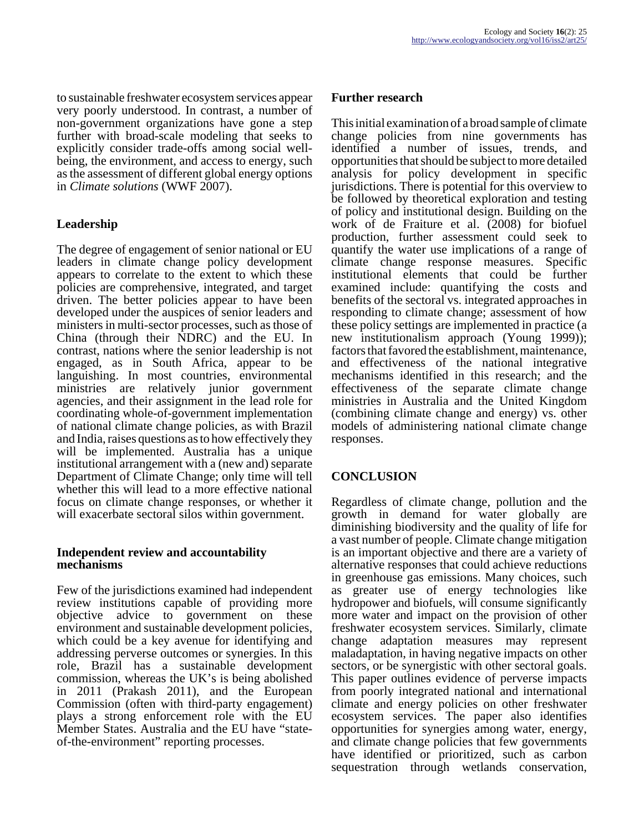to sustainable freshwater ecosystem services appear very poorly understood. In contrast, a number of non-government organizations have gone a step further with broad-scale modeling that seeks to explicitly consider trade-offs among social wellbeing, the environment, and access to energy, such as the assessment of different global energy options in *Climate solutions* (WWF 2007).

## **Leadership**

The degree of engagement of senior national or EU leaders in climate change policy development appears to correlate to the extent to which these policies are comprehensive, integrated, and target driven. The better policies appear to have been developed under the auspices of senior leaders and ministers in multi-sector processes, such as those of China (through their NDRC) and the EU. In contrast, nations where the senior leadership is not engaged, as in South Africa, appear to be languishing. In most countries, environmental ministries are relatively junior government agencies, and their assignment in the lead role for coordinating whole-of-government implementation of national climate change policies, as with Brazil and India, raises questions as to how effectively they will be implemented. Australia has a unique institutional arrangement with a (new and) separate Department of Climate Change; only time will tell whether this will lead to a more effective national focus on climate change responses, or whether it will exacerbate sectoral silos within government.

#### **Independent review and accountability mechanisms**

Few of the jurisdictions examined had independent review institutions capable of providing more objective advice to government on these environment and sustainable development policies, which could be a key avenue for identifying and addressing perverse outcomes or synergies. In this role, Brazil has a sustainable development commission, whereas the UK's is being abolished in 2011 (Prakash 2011), and the European Commission (often with third-party engagement) plays a strong enforcement role with the EU Member States. Australia and the EU have "stateof-the-environment" reporting processes.

#### **Further research**

This initial examination of a broad sample of climate change policies from nine governments has identified a number of issues, trends, and opportunities that should be subject to more detailed analysis for policy development in specific jurisdictions. There is potential for this overview to be followed by theoretical exploration and testing of policy and institutional design. Building on the work of de Fraiture et al. (2008) for biofuel production, further assessment could seek to quantify the water use implications of a range of climate change response measures. Specific institutional elements that could be further examined include: quantifying the costs and benefits of the sectoral vs. integrated approaches in responding to climate change; assessment of how these policy settings are implemented in practice (a new institutionalism approach (Young 1999)); factors that favored the establishment, maintenance, and effectiveness of the national integrative mechanisms identified in this research; and the effectiveness of the separate climate change ministries in Australia and the United Kingdom (combining climate change and energy) vs. other models of administering national climate change responses.

## **CONCLUSION**

Regardless of climate change, pollution and the growth in demand for water globally are diminishing biodiversity and the quality of life for a vast number of people. Climate change mitigation is an important objective and there are a variety of alternative responses that could achieve reductions in greenhouse gas emissions. Many choices, such as greater use of energy technologies like hydropower and biofuels, will consume significantly more water and impact on the provision of other freshwater ecosystem services. Similarly, climate change adaptation measures may represent maladaptation, in having negative impacts on other sectors, or be synergistic with other sectoral goals. This paper outlines evidence of perverse impacts from poorly integrated national and international climate and energy policies on other freshwater ecosystem services. The paper also identifies opportunities for synergies among water, energy, and climate change policies that few governments have identified or prioritized, such as carbon sequestration through wetlands conservation,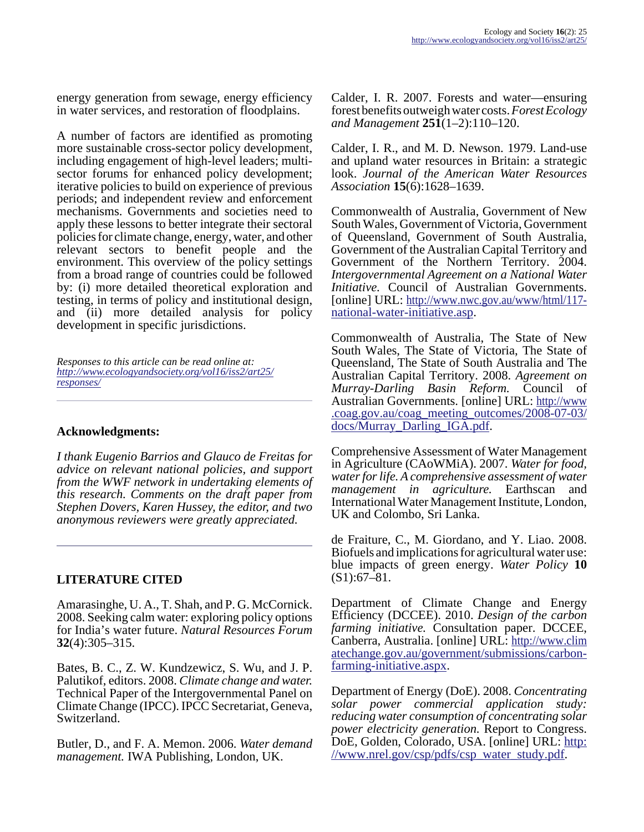energy generation from sewage, energy efficiency in water services, and restoration of floodplains.

A number of factors are identified as promoting more sustainable cross-sector policy development, including engagement of high-level leaders; multisector forums for enhanced policy development; iterative policies to build on experience of previous periods; and independent review and enforcement mechanisms. Governments and societies need to apply these lessons to better integrate their sectoral policies for climate change, energy, water, and other relevant sectors to benefit people and the environment. This overview of the policy settings from a broad range of countries could be followed by: (i) more detailed theoretical exploration and testing, in terms of policy and institutional design, and (ii) more detailed analysis for policy development in specific jurisdictions.

*Responses to this article can be read online at: [http://www](http://www.ecologyandsociety.org/vol16/iss2/art25/responses/).ecologyandsociety.org/vol16/iss2/art25/ responses/*

#### **Acknowledgments:**

*I thank Eugenio Barrios and Glauco de Freitas for advice on relevant national policies, and support from the WWF network in undertaking elements of this research. Comments on the draft paper from Stephen Dovers, Karen Hussey, the editor, and two anonymous reviewers were greatly appreciated.*

## **LITERATURE CITED**

Amarasinghe, U. A., T. Shah, and P. G. McCornick. 2008. Seeking calm water: exploring policy options for India's water future. *Natural Resources Forum* **32**(4):305–315.

Bates, B. C., Z. W. Kundzewicz, S. Wu, and J. P. Palutikof, editors. 2008. *Climate change and water.* Technical Paper of the Intergovernmental Panel on Climate Change (IPCC). IPCC Secretariat, Geneva, Switzerland.

Butler, D., and F. A. Memon. 2006. *Water demand management.* IWA Publishing, London, UK.

Calder, I. R. 2007. Forests and water—ensuring forest benefits outweigh water costs. *Forest Ecology and Management* **251**(1–2):110–120.

Calder, I. R., and M. D. Newson. 1979. Land-use and upland water resources in Britain: a strategic look. *Journal of the American Water Resources Association* **15**(6):1628–1639.

Commonwealth of Australia, Government of New South Wales, Government of Victoria, Government of Queensland, Government of South Australia, Government of the Australian Capital Territory and Government of the Northern Territory. 2004. *Intergovernmental Agreement on a National Water Initiative.* Council of Australian Governments. [online] URL: [http://www.nwc.gov.au/www/html/117](http://www.nwc.gov.au/www/html/117-national-water-initiative.asp) [national-water-initiative.asp.](http://www.nwc.gov.au/www/html/117-national-water-initiative.asp)

Commonwealth of Australia, The State of New South Wales, The State of Victoria, The State of Queensland, The State of South Australia and The Australian Capital Territory. 2008. *Agreement on Murray-Darling Basin Reform.* Council of Australian Governments. [online] URL: [http://www](http://www.coag.gov.au/coag_meeting_outcomes/2008-07-03/docs/Murray_Darling_IGA.pdf) .coag.gov.au/coag\_meeting\_outcomes/2008-07-03/ [docs/Murray\\_Darling\\_IGA.pdf](http://www.coag.gov.au/coag_meeting_outcomes/2008-07-03/docs/Murray_Darling_IGA.pdf).

Comprehensive Assessment of Water Management in Agriculture (CAoWMiA). 2007. *Water for food, water for life. A comprehensive assessment of water management in agriculture.* Earthscan and International Water Management Institute, London, UK and Colombo, Sri Lanka.

de Fraiture, C., M. Giordano, and Y. Liao. 2008. Biofuels and implications for agricultural water use: blue impacts of green energy. *Water Policy* **10**  $(S1): 67-81.$ 

Department of Climate Change and Energy Efficiency (DCCEE). 2010. *Design of the carbon farming initiative.* Consultation paper. DCCEE, Canberra, Australia. [online] URL: [http://www.clim](http://www.climatechange.gov.au/government/submissions/carbon-farming-initiative.aspx) atechange.gov.au/government/submissions/carbon[farming-initiative.aspx.](http://www.climatechange.gov.au/government/submissions/carbon-farming-initiative.aspx)

Department of Energy (DoE). 2008. *Concentrating solar power commercial application study: reducing water consumption of concentrating solar power electricity generation.* Report to Congress. DoE, Golden, Colorado, USA. [online] URL: [http:](http://www.nrel.gov/csp/pdfs/csp_water_study.pdf) [//www.nrel.gov/csp/pdfs/csp\\_water\\_study.pdf.](http://www.nrel.gov/csp/pdfs/csp_water_study.pdf)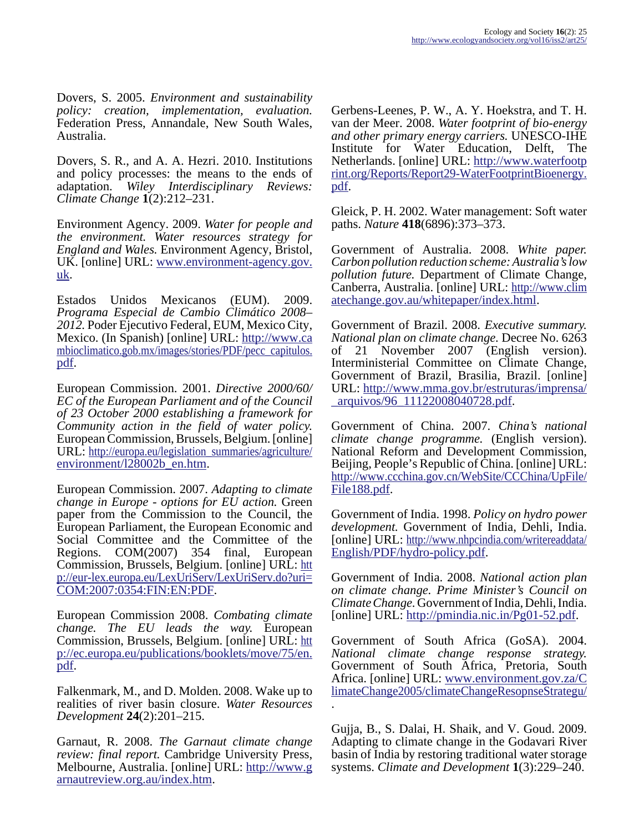Dovers, S. 2005. *Environment and sustainability policy: creation, implementation, evaluation.* Federation Press, Annandale, New South Wales, Australia.

Dovers, S. R., and A. A. Hezri. 2010. Institutions and policy processes: the means to the ends of adaptation. *Wiley Interdisciplinary Reviews: Climate Change* **1**(2):212–231.

Environment Agency. 2009. *Water for people and the environment. Water resources strategy for England and Wales.* Environment Agency, Bristol, UK. [online] URL: [www.environment-agency.gov.](http://www.ecologyandsociety.org/4037/www.environment-agency.gov.uk) [uk](http://www.ecologyandsociety.org/4037/www.environment-agency.gov.uk).

Estados Unidos Mexicanos (EUM). 2009. *Programa Especial de Cambio Climático 2008– 2012.* Poder Ejecutivo Federal, EUM, Mexico City, Mexico. (In Spanish) [online] URL: [http://www.ca](http://www.cambioclimatico.gob.mx/images/stories/PDF/pecc_capitulos.pdf) mbioclimatico.gob.mx/images/stories/PDF/pecc\_capitulos. [pdf.](http://www.cambioclimatico.gob.mx/images/stories/PDF/pecc_capitulos.pdf)

European Commission. 2001. *Directive 2000/60/ EC of the European Parliament and of the Council of 23 October 2000 establishing a framework for Community action in the field of water policy.* European Commission, Brussels, Belgium. [online] URL: [http://europa.eu/legislation\\_summaries/agriculture/](http://europa.eu/legislation_summaries/agriculture/environment/l28002b_en.htm) [environment/l28002b\\_en.htm](http://europa.eu/legislation_summaries/agriculture/environment/l28002b_en.htm).

European Commission. 2007. *Adapting to climate change in Europe - options for EU action.* Green paper from the Commission to the Council, the European Parliament, the European Economic and Social Committee and the Committee of the Regions. COM(2007) 354 final, European Commission, Brussels, Belgium. [online] URL: [htt](http://eur-lex.europa.eu/LexUriServ/LexUriServ.do?uri=COM:2007:0354:FIN:EN:PDF) p://eur-lex.europa.eu/LexUriServ/LexUriServ.do?uri= [COM:2007:0354:FIN:EN:PDF](http://eur-lex.europa.eu/LexUriServ/LexUriServ.do?uri=COM:2007:0354:FIN:EN:PDF).

European Commission 2008. *Combating climate change. The EU leads the way.* European Commission, Brussels, Belgium. [online] URL: [htt](http://ec.europa.eu/publications/booklets/move/75/en.pdf) p://ec.europa.eu/publications/booklets/move/75/en. [pdf.](http://ec.europa.eu/publications/booklets/move/75/en.pdf)

Falkenmark, M., and D. Molden. 2008. Wake up to realities of river basin closure. *Water Resources Development* **24**(2):201–215.

Garnaut, R. 2008. *The Garnaut climate change review: final report.* Cambridge University Press, Melbourne, Australia. [online] URL: [http://www.g](http://www.garnautreview.org.au/index.htm) [arnautreview.org.au/index.htm.](http://www.garnautreview.org.au/index.htm)

Gerbens-Leenes, P. W., A. Y. Hoekstra, and T. H. van der Meer. 2008. *Water footprint of bio-energy and other primary energy carriers.* UNESCO-IHE Institute for Water Education, Delft, The Netherlands. [online] URL: [http://www.waterfootp](http://www.waterfootprint.org/Reports/Report29-WaterFootprintBioenergy.pdf) rint.org/Reports/Report29-WaterFootprintBioenergy. [pdf.](http://www.waterfootprint.org/Reports/Report29-WaterFootprintBioenergy.pdf)

Gleick, P. H. 2002. Water management: Soft water paths. *Nature* **418**(6896):373–373.

Government of Australia. 2008. *White paper. Carbon pollution reduction scheme: Australia's low pollution future.* Department of Climate Change, Canberra, Australia. [online] URL: [http://www.clim](http://www.climatechange.gov.au/whitepaper/index.html) [atechange.gov.au/whitepaper/index.html.](http://www.climatechange.gov.au/whitepaper/index.html)

Government of Brazil. 2008. *Executive summary. National plan on climate change.* Decree No. 6263 of 21 November 2007 (English version). Interministerial Committee on Climate Change, Government of Brazil, Brasilia, Brazil. [online] URL: [http://www.mma.gov.br/estruturas/imprensa/](http://www.mma.gov.br/estruturas/imprensa/_arquivos/96_11122008040728.pdf) [\\_arquivos/96\\_11122008040728.pdf.](http://www.mma.gov.br/estruturas/imprensa/_arquivos/96_11122008040728.pdf)

Government of China. 2007. *China's national climate change programme.* (English version). National Reform and Development Commission, Beijing, People's Republic of China. [online] URL: [http://www.ccchina.gov.cn/WebSite/CCChina/UpFile/](http://www.ccchina.gov.cn/WebSite/CCChina/UpFile/File188.pdf) [File188.pdf.](http://www.ccchina.gov.cn/WebSite/CCChina/UpFile/File188.pdf)

Government of India. 1998. *Policy on hydro power development.* Government of India, Dehli, India. [online] URL: [http://www.nhpcindia.com/writereaddata/](http://www.nhpcindia.com/writereaddata/English/PDF/hydro-policy.pdf) [English/PDF/hydro-policy.pdf](http://www.nhpcindia.com/writereaddata/English/PDF/hydro-policy.pdf).

Government of India. 2008. *National action plan on climate change. Prime Minister's Council on Climate Change.* Government of India, Dehli, India. [online] URL:<http://pmindia.nic.in/Pg01-52.pdf>.

Government of South Africa (GoSA). 2004. *National climate change response strategy.* Government of South Africa, Pretoria, South Africa. [online] URL: [www.environment.gov.za/C](http://www.environment.gov.za/ClimateChange2005/climateChangeResopnseStrategu/) [limateChange2005/climateChangeResopnseStrategu/](http://www.environment.gov.za/ClimateChange2005/climateChangeResopnseStrategu/) .

Gujja, B., S. Dalai, H. Shaik, and V. Goud. 2009. Adapting to climate change in the Godavari River basin of India by restoring traditional water storage systems. *Climate and Development* **1**(3):229–240.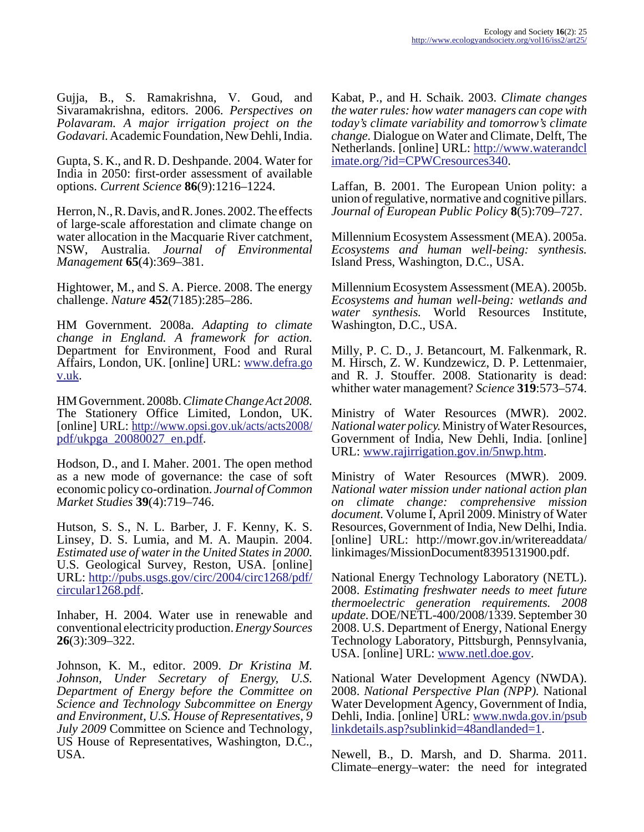Gujja, B., S. Ramakrishna, V. Goud, and Sivaramakrishna, editors. 2006. *Perspectives on Polavaram. A major irrigation project on the Godavari.* Academic Foundation, New Dehli, India.

Gupta, S. K., and R. D. Deshpande. 2004. Water for India in 2050: first-order assessment of available options. *Current Science* **86**(9):1216–1224.

Herron, N., R. Davis, and R. Jones. 2002. The effects of large-scale afforestation and climate change on water allocation in the Macquarie River catchment, NSW, Australia. *Journal of Environmental Management* **65**(4):369–381.

Hightower, M., and S. A. Pierce. 2008. The energy challenge. *Nature* **452**(7185):285–286.

HM Government. 2008a. *Adapting to climate change in England. A framework for action.* Department for Environment, Food and Rural Affairs, London, UK. [online] URL: [www.defra.go](http://www.ecologyandsociety.org/4037/www.defra.gov.uk) [v.uk](http://www.ecologyandsociety.org/4037/www.defra.gov.uk).

HM Government. 2008b. *Climate Change Act 2008.* The Stationery Office Limited, London, UK. [online] URL: [http://www.opsi.gov.uk/acts/acts2008/](http://www.opsi.gov.uk/acts/acts2008/pdf/ukpga_20080027_en.pdf) [pdf/ukpga\\_20080027\\_en.pdf.](http://www.opsi.gov.uk/acts/acts2008/pdf/ukpga_20080027_en.pdf)

Hodson, D., and I. Maher. 2001. The open method as a new mode of governance: the case of soft economic policy co-ordination. *Journal of Common Market Studies* **39**(4):719–746.

Hutson, S. S., N. L. Barber, J. F. Kenny, K. S. Linsey, D. S. Lumia, and M. A. Maupin. 2004. *Estimated use of water in the United States in 2000.* U.S. Geological Survey, Reston, USA. [online] URL: [http://pubs.usgs.gov/circ/2004/circ1268/pdf/](http://pubs.usgs.gov/circ/2004/circ1268/pdf/circular1268.pdf) [circular1268.pdf.](http://pubs.usgs.gov/circ/2004/circ1268/pdf/circular1268.pdf)

Inhaber, H. 2004. Water use in renewable and conventional electricity production. *Energy Sources* **26**(3):309–322.

Johnson, K. M., editor. 2009. *Dr Kristina M. Johnson, Under Secretary of Energy, U.S. Department of Energy before the Committee on Science and Technology Subcommittee on Energy and Environment, U.S. House of Representatives, 9 July 2009* Committee on Science and Technology, US House of Representatives, Washington, D.C., USA.

Kabat, P., and H. Schaik. 2003. *Climate changes the water rules: how water managers can cope with today's climate variability and tomorrow's climate change.* Dialogue on Water and Climate, Delft, The Netherlands. [online] URL: [http://www.waterandcl](http://www.waterandclimate.org/?id=CPWCresources340) [imate.org/?id=CPWCresources340.](http://www.waterandclimate.org/?id=CPWCresources340)

Laffan, B. 2001. The European Union polity: a union of regulative, normative and cognitive pillars. *Journal of European Public Policy* **8**(5):709–727.

Millennium Ecosystem Assessment (MEA). 2005a. *Ecosystems and human well-being: synthesis.* Island Press, Washington, D.C., USA.

Millennium Ecosystem Assessment (MEA). 2005b. *Ecosystems and human well-being: wetlands and water synthesis.* World Resources Institute, Washington, D.C., USA.

Milly, P. C. D., J. Betancourt, M. Falkenmark, R. M. Hirsch, Z. W. Kundzewicz, D. P. Lettenmaier, and R. J. Stouffer. 2008. Stationarity is dead: whither water management? *Science* **319**:573–574.

Ministry of Water Resources (MWR). 2002. *National water policy.* Ministry of Water Resources, Government of India, New Dehli, India. [online] URL: [www.rajirrigation.gov.in/5nwp.htm.](http://www.rajirrigation.gov.in/5nwp.htm)

Ministry of Water Resources (MWR). 2009. *National water mission under national action plan on climate change: comprehensive mission document.* Volume I, April 2009. Ministry of Water Resources, Government of India, New Delhi, India. [online] URL: http://mowr.gov.in/writereaddata/ linkimages/MissionDocument8395131900.pdf.

National Energy Technology Laboratory (NETL). 2008. *Estimating freshwater needs to meet future thermoelectric generation requirements. 2008 update.* DOE/NETL-400/2008/1339. September 30 2008. U.S. Department of Energy, National Energy Technology Laboratory, Pittsburgh, Pennsylvania, USA. [online] URL: [www.netl.doe.gov.](http://www.ecologyandsociety.org/4037/www.netl.doe.gov)

National Water Development Agency (NWDA). 2008. *National Perspective Plan (NPP).* National Water Development Agency, Government of India, Dehli, India. [online] URL: [www.nwda.gov.in/psub](http://www.nwda.gov.in/psublinkdetails.asp?sublinkid=48andlanded=1) [linkdetails.asp?sublinkid=48andlanded=1.](http://www.nwda.gov.in/psublinkdetails.asp?sublinkid=48andlanded=1)

Newell, B., D. Marsh, and D. Sharma. 2011. Climate–energy–water: the need for integrated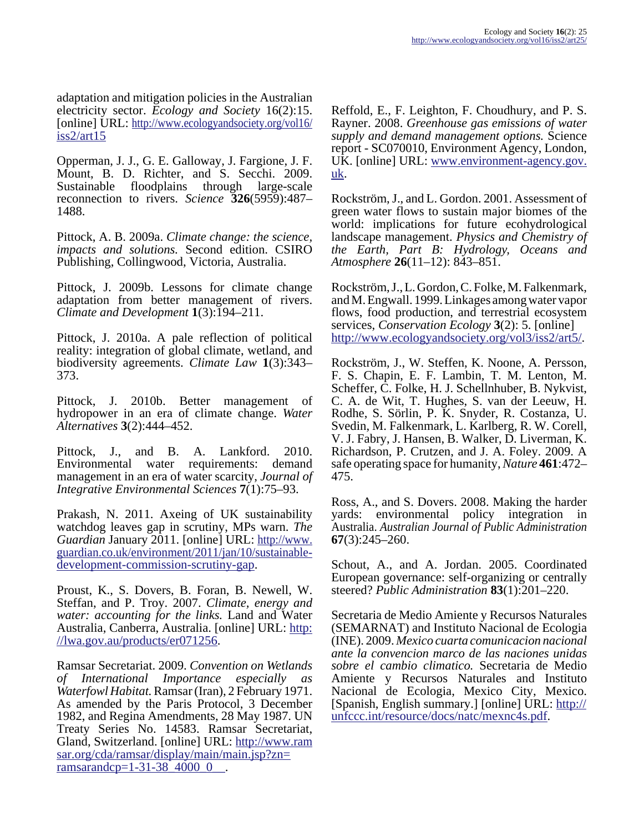adaptation and mitigation policies in the Australian electricity sector. *Ecology and Society* 16(2):15. [online] URL: [http://www.ecologyandsociety.org/vol16/](http://www.ecologyandsociety.org/vol16/iss2/art15) [iss2/art15](http://www.ecologyandsociety.org/vol16/iss2/art15)

Opperman, J. J., G. E. Galloway, J. Fargione, J. F. Mount, B. D. Richter, and S. Secchi. 2009. Sustainable floodplains through large-scale reconnection to rivers. *Science* **326**(5959):487– 1488.

Pittock, A. B. 2009a. *Climate change: the science, impacts and solutions.* Second edition. CSIRO Publishing, Collingwood, Victoria, Australia.

Pittock, J. 2009b. Lessons for climate change adaptation from better management of rivers. *Climate and Development* **1**(3):194–211.

Pittock, J. 2010a. A pale reflection of political reality: integration of global climate, wetland, and biodiversity agreements. *Climate Law* **1**(3):343– 373.

Pittock, J. 2010b. Better management of hydropower in an era of climate change. *Water Alternatives* **3**(2):444–452.

Pittock, J., and B. A. Lankford. 2010. Environmental water requirements: demand management in an era of water scarcity, *Journal of Integrative Environmental Sciences* **7**(1):75–93.

Prakash, N. 2011. Axeing of UK sustainability watchdog leaves gap in scrutiny, MPs warn. *The Guardian* January 2011. [online] URL: [http://www.](http://www.guardian.co.uk/environment/2011/jan/10/sustainable-development-commission-scrutiny-gap) [guardian.co.uk/environment/2011/jan/10/sustainable](http://www.guardian.co.uk/environment/2011/jan/10/sustainable-development-commission-scrutiny-gap)[development-commission-scrutiny-gap.](http://www.guardian.co.uk/environment/2011/jan/10/sustainable-development-commission-scrutiny-gap)

Proust, K., S. Dovers, B. Foran, B. Newell, W. Steffan, and P. Troy. 2007. *Climate, energy and water: accounting for the links.* Land and Water Australia, Canberra, Australia. [online] URL: [http:](http://lwa.gov.au/products/er071256) [//lwa.gov.au/products/er071256.](http://lwa.gov.au/products/er071256)

Ramsar Secretariat. 2009. *Convention on Wetlands of International Importance especially as Waterfowl Habitat.* Ramsar (Iran), 2 February 1971. As amended by the Paris Protocol, 3 December 1982, and Regina Amendments, 28 May 1987. UN Treaty Series No. 14583. Ramsar Secretariat, Gland, Switzerland. [online] URL: [http://www.ram](http://www.ramsar.org/cda/ramsar/display/main/main.jsp?zn=ramsarandcp=1-31-38_4000_0__) sar.org/cda/ramsar/display/main/main.jsp?zn= [ramsarandcp=1-31-38\\_4000\\_0\\_\\_](http://www.ramsar.org/cda/ramsar/display/main/main.jsp?zn=ramsarandcp=1-31-38_4000_0__).

Reffold, E., F. Leighton, F. Choudhury, and P. S. Rayner. 2008. *Greenhouse gas emissions of water supply and demand management options.* Science report - SC070010, Environment Agency, London, UK. [online] URL: [www.environment-agency.gov.](http://www.ecologyandsociety.org/4037/www.environment-agency.gov.uk) [uk](http://www.ecologyandsociety.org/4037/www.environment-agency.gov.uk).

Rockström, J., and L. Gordon. 2001. Assessment of green water flows to sustain major biomes of the world: implications for future ecohydrological landscape management. *Physics and Chemistry of the Earth, Part B: Hydrology, Oceans and Atmosphere* **26**(11–12): 843–851.

Rockström, J., L. Gordon, C. Folke, M. Falkenmark, and M. Engwall. 1999. Linkages among water vapor flows, food production, and terrestrial ecosystem services, *Conservation Ecology* **3**(2): 5. [online] [http://www.ecologyandsociety.org/vol3/iss2/art5/.](http://www.ecologyandsociety.org/vol3/iss2/art5/)

Rockström, J., W. Steffen, K. Noone, A. Persson, F. S. Chapin, E. F. Lambin, T. M. Lenton, M. Scheffer, C. Folke, H. J. Schellnhuber, B. Nykvist, C. A. de Wit, T. Hughes, S. van der Leeuw, H. Rodhe, S. Sörlin, P. K. Snyder, R. Costanza, U. Svedin, M. Falkenmark, L. Karlberg, R. W. Corell, V. J. Fabry, J. Hansen, B. Walker, D. Liverman, K. Richardson, P. Crutzen, and J. A. Foley. 2009. A safe operating space for humanity, *Nature* **461**:472– 475.

Ross, A., and S. Dovers. 2008. Making the harder yards: environmental policy integration in Australia. *Australian Journal of Public Administration* **67**(3):245–260.

Schout, A., and A. Jordan. 2005. Coordinated European governance: self-organizing or centrally steered? *Public Administration* **83**(1):201–220.

Secretaria de Medio Amiente y Recursos Naturales (SEMARNAT) and Instituto Nacional de Ecologia (INE). 2009. *Mexico cuarta comunicacion nacional ante la convencion marco de las naciones unidas sobre el cambio climatico.* Secretaria de Medio Amiente y Recursos Naturales and Instituto Nacional de Ecologia, Mexico City, Mexico. [Spanish, English summary.] [online] URL: [http://](http://unfccc.int/resource/docs/natc/mexnc4s.pdf) [unfccc.int/resource/docs/natc/mexnc4s.pdf](http://unfccc.int/resource/docs/natc/mexnc4s.pdf).